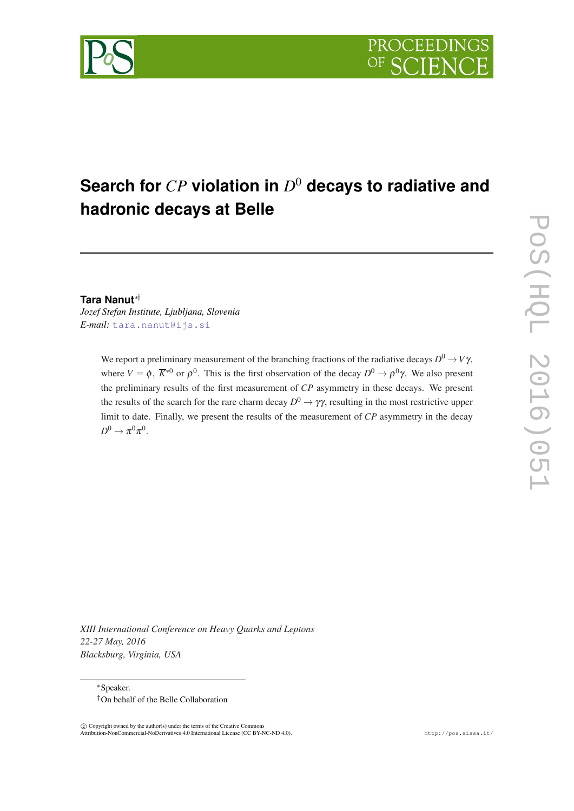

# **Search for** *CP* **violation in** *D* <sup>0</sup> **decays to radiative and hadronic decays at Belle**

### **Tara Nanut**∗†

*Jozef Stefan Institute, Ljubljana, Slovenia E-mail:* [tara.nanut@ijs.si](mailto:tara.nanut@ijs.si)

> We report a preliminary measurement of the branching fractions of the radiative decays  $D^0 \to V \gamma,$ where  $V = \phi$ ,  $\overline{K}^{*0}$  or  $\rho^0$ . This is the first observation of the decay  $D^0 \to \rho^0 \gamma$ . We also present the preliminary results of the first measurement of *CP* asymmetry in these decays. We present the results of the search for the rare charm decay  $D^0 \to \gamma \gamma$ , resulting in the most restrictive upper limit to date. Finally, we present the results of the measurement of *CP* asymmetry in the decay  $D^0 \to \pi^0 \pi^0$ .

*XIII International Conference on Heavy Quarks and Leptons 22-27 May, 2016 Blacksburg, Virginia, USA*

<sup>∗</sup>Speaker. †On behalf of the Belle Collaboration

 c Copyright owned by the author(s) under the terms of the Creative Commons Attribution-NonCommercial-NoDerivatives 4.0 International License (CC BY-NC-ND 4.0). http://pos.sissa.it/

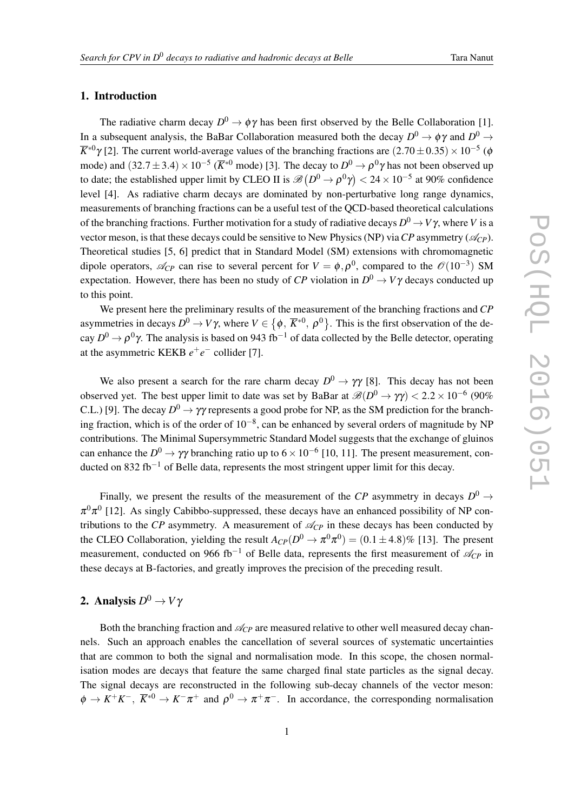### 1. Introduction

The radiative charm decay  $D^0 \to \phi \gamma$  has been first observed by the Belle Collaboration [1]. In a subsequent analysis, the BaBar Collaboration measured both the decay  $D^0 \to \phi \gamma$  and  $D^0 \to$  $\overline{K}^{*0}$ γ[2]. The current world-average values of the branching fractions are  $(2.70 \pm 0.35) \times 10^{-5}$  (¢ mode) and (32.7 ± 3.4) × 10<sup>-5</sup> ( $\overline{K}^{*0}$  mode) [3]. The decay to  $D^0 \to \rho^0γ$  has not been observed up to date; the established upper limit by CLEO II is  $\mathscr{B}\left(D^0 \to \rho^0\gamma\right) < 24\times 10^{-5}$  at 90% confidence level [4]. As radiative charm decays are dominated by non-perturbative long range dynamics, measurements of branching fractions can be a useful test of the QCD-based theoretical calculations of the branching fractions. Further motivation for a study of radiative decays  $D^0 \to V \gamma$ , where  $V$  is a vector meson, is that these decays could be sensitive to New Physics (NP) via  $CP$  asymmetry ( $\mathcal{A}_{CP}$ ). Theoretical studies [5, 6] predict that in Standard Model (SM) extensions with chromomagnetic dipole operators,  $\mathcal{A}_{CP}$  can rise to several percent for  $V = \phi, \rho^0$ , compared to the  $\mathcal{O}(10^{-3})$  SM expectation. However, there has been no study of  $CP$  violation in  $D^0 \to V\gamma$  decays conducted up to this point.

We present here the preliminary results of the measurement of the branching fractions and *CP* asymmetries in decays  $D^0 \to V\gamma$ , where  $V \in \left\{\phi, \ \overline{K}^{*0}, \ \rho^0\right\}$ . This is the first observation of the decay  $D^0 \to \rho^0 \gamma$ . The analysis is based on 943 fb<sup>-1</sup> of data collected by the Belle detector, operating at the asymmetric KEKB  $e^+e^-$  collider [7].

We also present a search for the rare charm decay  $D^0 \to \gamma \gamma$  [8]. This decay has not been observed yet. The best upper limit to date was set by BaBar at  $\mathscr{B}(D^0 \to \gamma \gamma) < 2.2 \times 10^{-6}$  (90% C.L.) [9]. The decay  $D^0 \to \gamma\gamma$  represents a good probe for NP, as the SM prediction for the branching fraction, which is of the order of  $10^{-8}$ , can be enhanced by several orders of magnitude by NP contributions. The Minimal Supersymmetric Standard Model suggests that the exchange of gluinos can enhance the  $D^0 \to \gamma \gamma$  branching ratio up to  $6 \times 10^{-6}$  [10, 11]. The present measurement, conducted on 832 fb<sup>-1</sup> of Belle data, represents the most stringent upper limit for this decay.

Finally, we present the results of the measurement of the *CP* asymmetry in decays  $D^0 \rightarrow$  $\pi^0\pi^0$  [12]. As singly Cabibbo-suppressed, these decays have an enhanced possibility of NP contributions to the *CP* asymmetry. A measurement of  $\mathcal{A}_{CP}$  in these decays has been conducted by the CLEO Collaboration, yielding the result  $A_{CP}(D^0 \to \pi^0 \pi^0) = (0.1 \pm 4.8)\%$  [13]. The present measurement, conducted on 966 fb<sup>-1</sup> of Belle data, represents the first measurement of  $\mathcal{A}_{CP}$  in these decays at B-factories, and greatly improves the precision of the preceding result.

# **2.** Analysis  $D^0 \to V$ γ

Both the branching fraction and  $\mathcal{A}_{CP}$  are measured relative to other well measured decay channels. Such an approach enables the cancellation of several sources of systematic uncertainties that are common to both the signal and normalisation mode. In this scope, the chosen normalisation modes are decays that feature the same charged final state particles as the signal decay. The signal decays are reconstructed in the following sub-decay channels of the vector meson:  $\phi \to K^+K^-$ ,  $\overline{K}^{*0} \to K^-\pi^+$  and  $\rho^0 \to \pi^+\pi^-$ . In accordance, the corresponding normalisation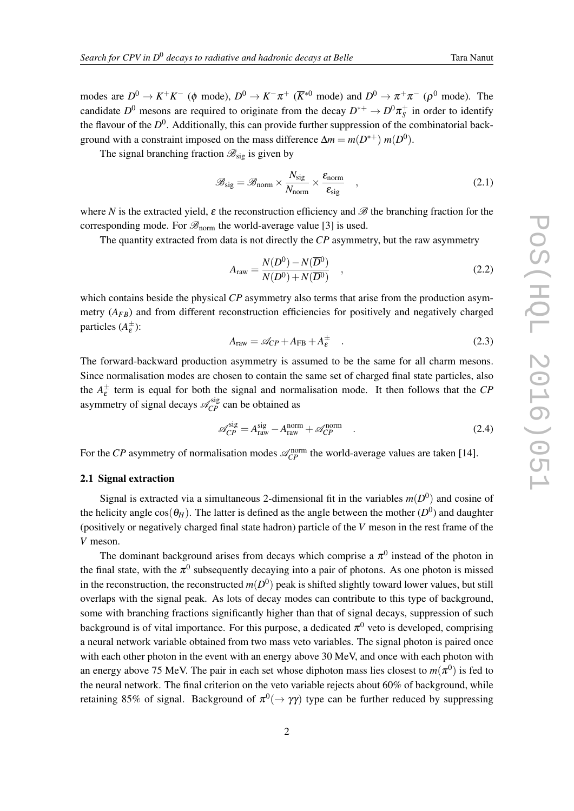<span id="page-2-0"></span>modes are  $D^0 \to K^+K^-$  ( $\phi$  mode),  $D^0 \to K^-\pi^+$  ( $\overline{K}^{*0}$  mode) and  $D^0 \to \pi^+\pi^-$  ( $\rho^0$  mode). The candidate  $D^0$  mesons are required to originate from the decay  $D^{*+} \to D^0 \pi_S^+$  in order to identify the flavour of the *D*<sup>0</sup>. Additionally, this can provide further suppression of the combinatorial background with a constraint imposed on the mass difference  $\Delta m = m(D^{*+}) m(D^0)$ .

The signal branching fraction  $\mathscr{B}_{\text{sig}}$  is given by

$$
\mathcal{B}_{\text{sig}} = \mathcal{B}_{\text{norm}} \times \frac{N_{\text{sig}}}{N_{\text{norm}}} \times \frac{\varepsilon_{\text{norm}}}{\varepsilon_{\text{sig}}}, \qquad (2.1)
$$

where *N* is the extracted yield,  $\varepsilon$  the reconstruction efficiency and  $\mathscr{B}$  the branching fraction for the corresponding mode. For  $\mathscr{B}_{norm}$  the world-average value [3] is used.

The quantity extracted from data is not directly the *CP* asymmetry, but the raw asymmetry

$$
A_{\text{raw}} = \frac{N(D^0) - N(\overline{D}^0)}{N(D^0) + N(\overline{D}^0)} \quad , \tag{2.2}
$$

which contains beside the physical *CP* asymmetry also terms that arise from the production asymmetry  $(A_{FB})$  and from different reconstruction efficiencies for positively and negatively charged particles  $(A_{\varepsilon}^{\pm})$ :

$$
A_{\text{raw}} = \mathcal{A}_{\text{CP}} + A_{\text{FB}} + A_{\varepsilon}^{\pm} \quad . \tag{2.3}
$$

The forward-backward production asymmetry is assumed to be the same for all charm mesons. Since normalisation modes are chosen to contain the same set of charged final state particles, also the  $A_{\varepsilon}^{\pm}$  term is equal for both the signal and normalisation mode. It then follows that the *CP* asymmetry of signal decays  $\mathcal{A}_{CP}^{sig}$  can be obtained as

$$
\mathcal{A}_{CP}^{\text{sig}} = A_{\text{raw}}^{\text{sig}} - A_{\text{raw}}^{\text{norm}} + \mathcal{A}_{CP}^{\text{norm}} \quad . \tag{2.4}
$$

For the *CP* asymmetry of normalisation modes  $\mathcal{A}_{CP}^{norm}$  the world-average values are taken [14].

### 2.1 Signal extraction

Signal is extracted via a simultaneous 2-dimensional fit in the variables  $m(D^0)$  and cosine of the helicity angle  $\cos(\theta_H)$ . The latter is defined as the angle between the mother  $(D^0)$  and daughter (positively or negatively charged final state hadron) particle of the *V* meson in the rest frame of the *V* meson.

The dominant background arises from decays which comprise a  $\pi^0$  instead of the photon in the final state, with the  $\pi^0$  subsequently decaying into a pair of photons. As one photon is missed in the reconstruction, the reconstructed  $m(D^0)$  peak is shifted slightly toward lower values, but still overlaps with the signal peak. As lots of decay modes can contribute to this type of background, some with branching fractions significantly higher than that of signal decays, suppression of such background is of vital importance. For this purpose, a dedicated  $\pi^0$  veto is developed, comprising a neural network variable obtained from two mass veto variables. The signal photon is paired once with each other photon in the event with an energy above 30 MeV, and once with each photon with an energy above 75 MeV. The pair in each set whose diphoton mass lies closest to  $m(\pi^0)$  is fed to the neural network. The final criterion on the veto variable rejects about 60% of background, while retaining 85% of signal. Background of  $\pi^0(\to\gamma\gamma)$  type can be further reduced by suppressing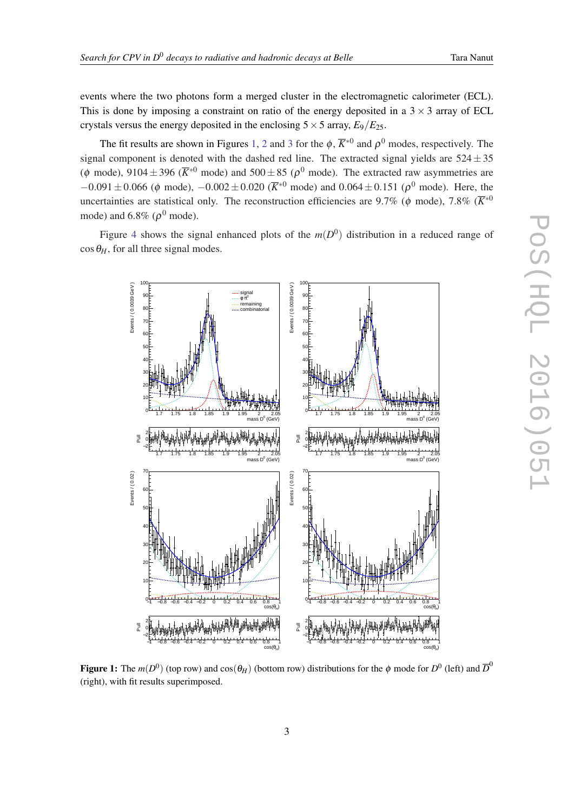events where the two photons form a merged cluster in the electromagnetic calorimeter (ECL). This is done by imposing a constraint on ratio of the energy deposited in a  $3 \times 3$  array of ECL crystals versus the energy deposited in the enclosing  $5 \times 5$  array,  $E_9/E_{25}$ .

The fit results are shown in Figures 1, [2](#page-4-0) and [3](#page-5-0) for the  $\phi$ ,  $\overline{K}^{*0}$  and  $\rho^0$  modes, respectively. The signal component is denoted with the dashed red line. The extracted signal yields are  $524 \pm 35$ ( $\phi$  mode), 9104 ± 396 ( $\overline{K}^{*0}$  mode) and 500 ± 85 ( $\rho^0$  mode). The extracted raw asymmetries are  $-0.091 \pm 0.066$  ( $\phi$  mode),  $-0.002 \pm 0.020$  ( $\overline{K}^{*0}$  mode) and  $0.064 \pm 0.151$  ( $\rho^0$  mode). Here, the uncertainties are statistical only. The reconstruction efficiencies are 9.7% ( $\phi$  mode), 7.8% ( $\overline{K}^{*0}$ mode) and 6.8% ( $\rho^0$  mode).

Figure [4](#page-6-0) shows the signal enhanced plots of the  $m(D^0)$  distribution in a reduced range of  $\cos \theta_H$ , for all three signal modes.



Figure 1: The  $m(D^0)$  (top row) and  $\cos(\theta_H)$  (bottom row) distributions for the  $\phi$  mode for  $D^0$  (left) and  $\overline{D}^0$ (right), with fit results superimposed.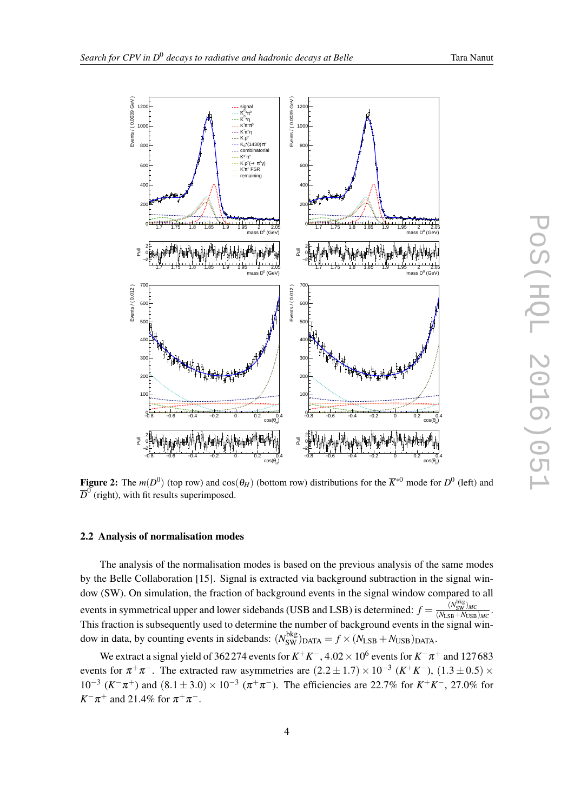$\pi^0$  $\overline{\mathsf{K}}^{\sigma_\star}\pi^0$ \*η  $\overline{\mathsf{K}}^{0_\star}\hspace{-1mm}\eta$  $\pi^0$  $\pi^*\pi^0$  $K\pi^+\pi$ η  $π$ <sup>+</sup>η  $K\pi^+$ r  $\rho^+$  $Kp^+$  $K_0^*(1430) \pi^+$ combinatorial  $\pi^+$  $K^*\pi$ 

1200 minutes and the signal signal signal

Events / ( 0.0039 GeV )

<span id="page-4-0"></span>Events / (0.0039 GeV)

 $100$ 

800





Figure 2: The  $m(D^0)$  (top row) and  $cos(\theta_H)$  (bottom row) distributions for the  $\overline{K}^{*0}$  mode for  $D^0$  (left) and  $\overline{D}^0$  (right), with fit results superimposed.

### 2.2 Analysis of normalisation modes

The analysis of the normalisation modes is based on the previous analysis of the same modes by the Belle Collaboration [15]. Signal is extracted via background subtraction in the signal window (SW). On simulation, the fraction of background events in the signal window compared to all events in symmetrical upper and lower sidebands (USB and LSB) is determined:  $f = \frac{(N_{SW}^{bkg})_{MC}}{(N_{cSM}+N_{MSE})}$  $\frac{(N_{SW})MC}{(N_{LSB}+N_{USB})_{MC}}$ . This fraction is subsequently used to determine the number of background events in the signal window in data, by counting events in sidebands:  $(N_{SW}^{bkg})_{DATA} = f \times (N_{LSB} + N_{USB})_{DATA}$ .

We extract a signal yield of 362 274 events for  $K^+K^-$ , 4.02  $\times$   $10^6$  events for  $K^-\pi^+$  and 127 683 events for  $\pi^+\pi^-$ . The extracted raw asymmetries are  $(2.2 \pm 1.7) \times 10^{-3}$   $(K^+K^-)$ ,  $(1.3 \pm 0.5) \times$  $10^{-3}$  (*K*<sup>−</sup>π<sup>+</sup>) and (8.1 ± 3.0) × 10<sup>-3</sup> (π<sup>+</sup>π<sup>−</sup>). The efficiencies are 22.7% for *K*<sup>+</sup>*K*<sup>−</sup>, 27.0% for  $K^- \pi^+$  and 21.4% for  $\pi^+ \pi^-$ .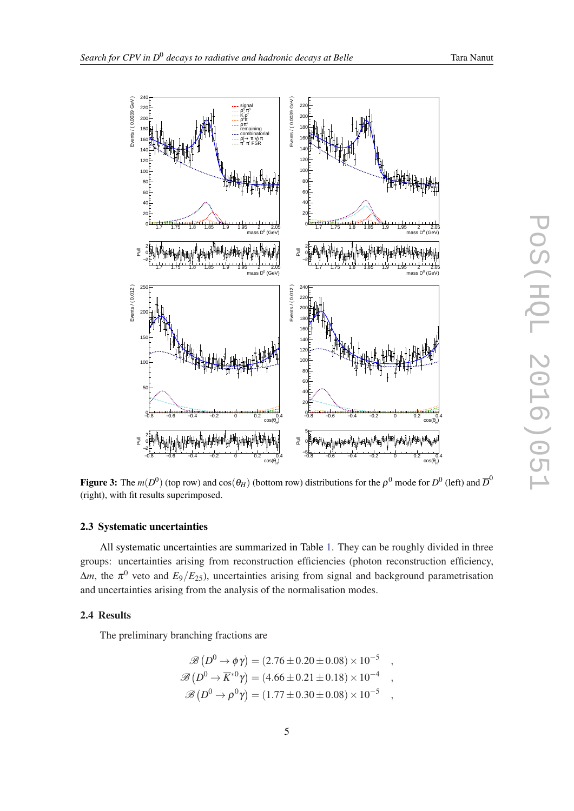<span id="page-5-0"></span>

Figure 3: The  $m(D^0)$  (top row) and  $\cos(\theta_H)$  (bottom row) distributions for the  $\rho^0$  mode for  $D^0$  (left) and  $\overline{D}^0$ (right), with fit results superimposed.

#### 2.3 Systematic uncertainties

All systematic uncertainties are summarized in Table [1.](#page-7-0) They can be roughly divided in three groups: uncertainties arising from reconstruction efficiencies (photon reconstruction efficiency,  $\Delta m$ , the  $\pi^0$  veto and  $E_9/E_{25}$ ), uncertainties arising from signal and background parametrisation and uncertainties arising from the analysis of the normalisation modes.

### 2.4 Results

The preliminary branching fractions are

$$
\mathcal{B}(D^0 \to \phi \gamma) = (2.76 \pm 0.20 \pm 0.08) \times 10^{-5} ,
$$
  
\n
$$
\mathcal{B}(D^0 \to \overline{K}^{*0} \gamma) = (4.66 \pm 0.21 \pm 0.18) \times 10^{-4} ,
$$
  
\n
$$
\mathcal{B}(D^0 \to \rho^0 \gamma) = (1.77 \pm 0.30 \pm 0.08) \times 10^{-5} ,
$$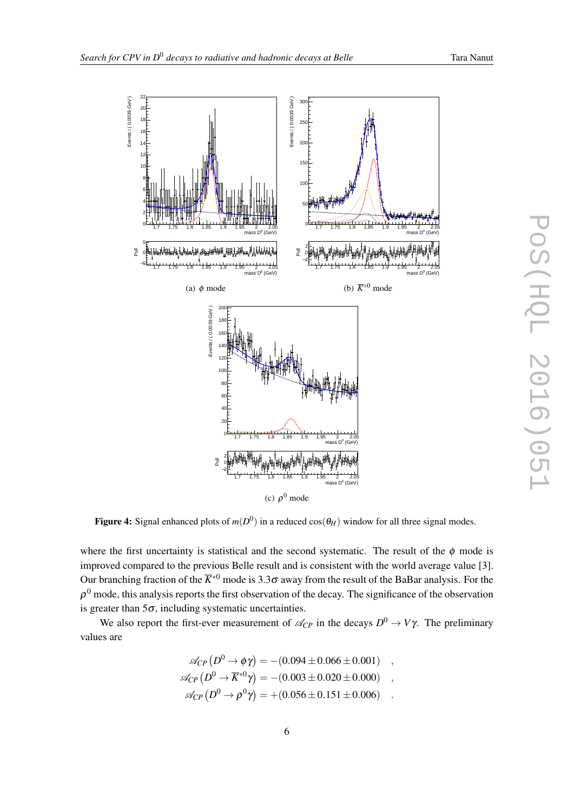<span id="page-6-0"></span>

Figure 4: Signal enhanced plots of  $m(D^0)$  in a reduced  $cos(\theta_H)$  window for all three signal modes.

where the first uncertainty is statistical and the second systematic. The result of the  $\phi$  mode is improved compared to the previous Belle result and is consistent with the world average value [3]. Our branching fraction of the  $\overline{K}^{*0}$  mode is 3.3 $\sigma$  away from the result of the BaBar analysis. For the  $\rho^0$  mode, this analysis reports the first observation of the decay. The significance of the observation is greater than  $5\sigma$ , including systematic uncertainties.

We also report the first-ever measurement of  $\mathcal{A}_{CP}$  in the decays  $D^0 \to V\gamma$ . The preliminary values are

$$
\mathscr{A}_{CP} (D^0 \to \phi \gamma) = -(0.094 \pm 0.066 \pm 0.001) ,
$$
  
\n
$$
\mathscr{A}_{CP} (D^0 \to \overline{K}^{*0} \gamma) = -(0.003 \pm 0.020 \pm 0.000) ,
$$
  
\n
$$
\mathscr{A}_{CP} (D^0 \to \rho^0 \gamma) = +(0.056 \pm 0.151 \pm 0.006) .
$$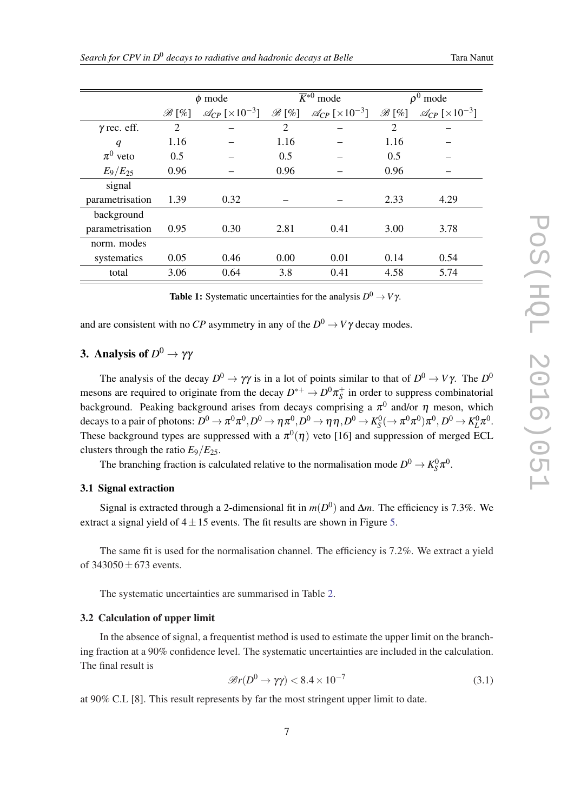<span id="page-7-0"></span>

|                    | $\phi$ mode       |                                         | $\overline{\overline{K}^{*0}}$ mode |                                         | $\rho^0$<br>mode  |                                         |
|--------------------|-------------------|-----------------------------------------|-------------------------------------|-----------------------------------------|-------------------|-----------------------------------------|
|                    | $\mathscr{B}[\%]$ | $\mathcal{A}_{CP}$ [ $\times 10^{-3}$ ] | $\mathscr{B}\left[\%\right]$        | $\mathcal{A}_{CP}$ [ $\times 10^{-3}$ ] | $\mathscr{B}[\%]$ | $\mathcal{A}_{CP}$ [ $\times 10^{-3}$ ] |
| $\gamma$ rec. eff. | $\overline{2}$    |                                         | $\overline{2}$                      |                                         | $\overline{2}$    |                                         |
| q                  | 1.16              |                                         | 1.16                                |                                         | 1.16              |                                         |
| $\pi^0$ veto       | 0.5               |                                         | 0.5                                 |                                         | 0.5               |                                         |
| $E_9/E_{25}$       | 0.96              |                                         | 0.96                                |                                         | 0.96              |                                         |
| signal             |                   |                                         |                                     |                                         |                   |                                         |
| parametrisation    | 1.39              | 0.32                                    |                                     |                                         | 2.33              | 4.29                                    |
| background         |                   |                                         |                                     |                                         |                   |                                         |
| parametrisation    | 0.95              | 0.30                                    | 2.81                                | 0.41                                    | 3.00              | 3.78                                    |
| norm, modes        |                   |                                         |                                     |                                         |                   |                                         |
| systematics        | 0.05              | 0.46                                    | 0.00                                | 0.01                                    | 0.14              | 0.54                                    |
| total              | 3.06              | 0.64                                    | 3.8                                 | 0.41                                    | 4.58              | 5.74                                    |

Table 1: Systematic uncertainties for the analysis  $D^0 \to V \gamma$ .

and are consistent with no *CP* asymmetry in any of the  $D^0 \to V\gamma$  decay modes.

# 3. Analysis of  $D^0 \to \gamma \gamma$

The analysis of the decay  $D^0 \to \gamma \gamma$  is in a lot of points similar to that of  $D^0 \to V \gamma$ . The  $D^0$ mesons are required to originate from the decay  $D^{*+} \to D^0 \pi_S^+$  in order to suppress combinatorial background. Peaking background arises from decays comprising a  $\pi^0$  and/or  $\eta$  meson, which decays to a pair of photons:  $D^0 \to \pi^0 \pi^0$ ,  $D^0 \to \eta \pi^0$ ,  $D^0 \to \eta \eta$ ,  $D^0 \to K_S^0 (\to \pi^0 \pi^0) \pi^0$ ,  $D^0 \to K_L^0 \pi^0$ . These background types are suppressed with a  $\pi^0(\eta)$  veto [16] and suppression of merged ECL clusters through the ratio  $E_9/E_{25}$ .

The branching fraction is calculated relative to the normalisation mode  $D^0 \to K_S^0 \pi^0$ .

### 3.1 Signal extraction

Signal is extracted through a 2-dimensional fit in  $m(D^0)$  and  $\Delta m$ . The efficiency is 7.3%. We extract a signal yield of  $4 \pm 15$  $4 \pm 15$  events. The fit results are shown in Figure 5.

The same fit is used for the normalisation channel. The efficiency is 7.2%. We extract a yield of  $343050 + 673$  events.

The systematic uncertainties are summarised in Table [2](#page-8-0).

#### 3.2 Calculation of upper limit

In the absence of signal, a frequentist method is used to estimate the upper limit on the branching fraction at a 90% confidence level. The systematic uncertainties are included in the calculation. The final result is

$$
\mathcal{B}r(D^0 \to \gamma \gamma) < 8.4 \times 10^{-7} \tag{3.1}
$$

at 90% C.L [8]. This result represents by far the most stringent upper limit to date.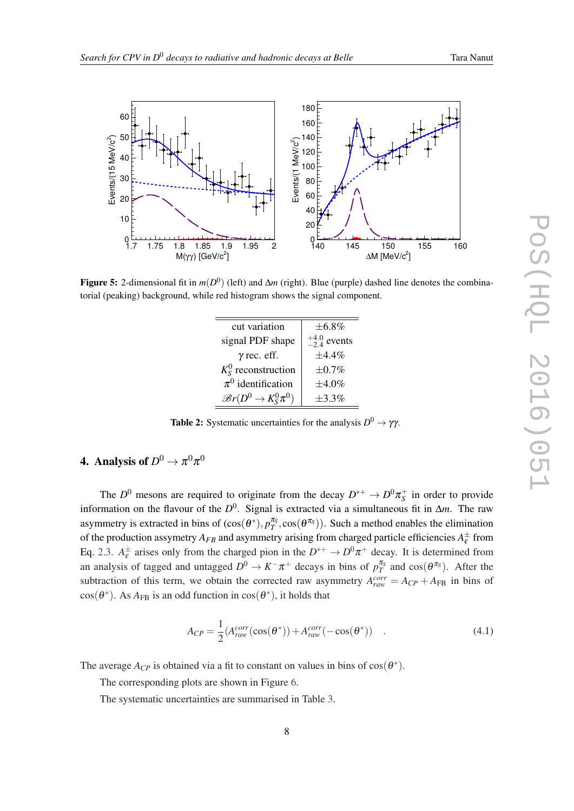<span id="page-8-0"></span>

Figure 5: 2-dimensional fit in *m*(*D* 0 ) (left) and ∆*m* (right). Blue (purple) dashed line denotes the combinatorial (peaking) background, while red histogram shows the signal component.

| $\pm 6.8\%$             |
|-------------------------|
| $^{+4.0}_{-2.4}$ events |
| $\pm 4.4\%$             |
| $\pm 0.7\%$             |
| $\pm 4.0\%$             |
| $+3.3\%$                |
|                         |

Table 2: Systematic uncertainties for the analysis  $D^0 \to \gamma \gamma$ .

# 4. Analysis of  $D^{0}\to\pi^{0}\pi^{0}$

The  $D^0$  mesons are required to originate from the decay  $D^{*+} \to D^0 \pi_S^+$  in order to provide information on the flavour of the *D* 0 . Signal is extracted via a simultaneous fit in ∆*m*. The raw asymmetry is extracted in bins of  $(cos(\theta^*), p_T^{\pi_S}, cos(\theta^{\pi_S}))$ . Such a method enables the elimination of the production assymetry  $A_{FB}$  and asymmetry arising from charged particle efficiencies  $A_{\varepsilon}^{\pm}$  from Eq. [2.3](#page-2-0).  $A_{\varepsilon}^{\pm}$  arises only from the charged pion in the  $D^{*+} \to D^0 \pi^+$  decay. It is determined from an analysis of tagged and untagged  $D^0 \to K^-\pi^+$  decays in bins of  $p_T^{\pi_S}$  and  $\cos(\theta^{\pi_S})$ . After the subtraction of this term, we obtain the corrected raw asymmetry  $A_{raw}^{corr} = A_{CP} + A_{FB}$  in bins of  $cos(\theta^*)$ . As  $A_{FB}$  is an odd function in  $cos(\theta^*)$ , it holds that

$$
A_{CP} = \frac{1}{2} (A_{raw}^{corr}(\cos(\theta^*)) + A_{raw}^{corr}(-\cos(\theta^*))
$$
 (4.1)

The average  $A_{CP}$  is obtained via a fit to constant on values in bins of  $cos(\theta^*)$ .

The corresponding plots are shown in Figure [6](#page-9-0).

The systematic uncertainties are summarised in Table [3](#page-9-0).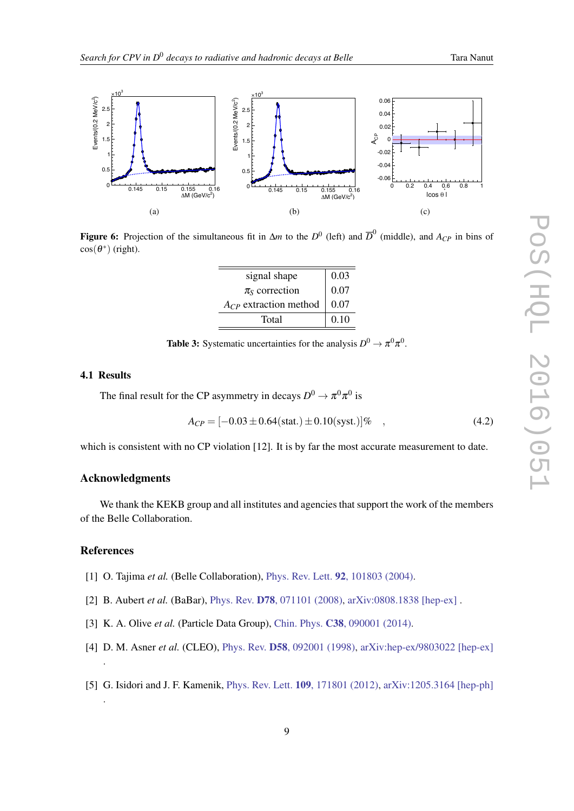<span id="page-9-0"></span>

 $\mathfrak{R}$ Figure 6: Projection of the simultaneous fit in  $\Delta m$  to the  $D^0$  (left) and  $\overline{D}^0$  (middle), and  $A_{CP}$  in bins of  $cos(\theta^*)$  (right).

| signal shape               | 0.03 |
|----------------------------|------|
| $\pi_{\rm S}$ correction   | 0.07 |
| $A_{CP}$ extraction method | 0.07 |
| Total                      | 0.10 |

**Table 3:** Systematic uncertainties for the analysis  $D^0 \to \pi^0 \pi^0$ .

### 4.1 Results

The final result for the CP asymmetry in decays  $D^0 \to \pi^0 \pi^0$  is

$$
A_{CP} = [-0.03 \pm 0.64(\text{stat.}) \pm 0.10(\text{syst.})] \%
$$
 (4.2)

which is consistent with no CP violation [12]. It is by far the most accurate measurement to date.

### Acknowledgments

We thank the KEKB group and all institutes and agencies that support the work of the members of the Belle Collaboration.

#### References

.

- [1] O. Tajima *et al.* (Belle Collaboration), Phys. Rev. Lett. **92**[, 101803 \(2004\).](http://dx.doi.org/10.1103/PhysRevLett.92.101803)
- [2] B. Aubert *et al.* (BaBar), Phys. Rev. D78[, 071101 \(2008\)](http://dx.doi.org/10.1103/PhysRevD.78.071101), [arXiv:0808.1838 \[hep-ex\]](http://arxiv.org/abs/0808.1838).
- [3] K. A. Olive *et al.* (Particle Data Group), Chin. Phys. **C38**[, 090001 \(2014\).](http://dx.doi.org/10.1088/1674-1137/38/9/090001)
- [4] D. M. Asner *et al.* (CLEO), Phys. Rev. **D58**[, 092001 \(1998\)](http://dx.doi.org/10.1103/PhysRevD.58.092001), [arXiv:hep-ex/9803022 \[hep-ex\]](http://arxiv.org/abs/hep-ex/9803022) .
- [5] G. Isidori and J. F. Kamenik, Phys. Rev. Lett. 109[, 171801 \(2012\)](http://dx.doi.org/10.1103/PhysRevLett.109.171801), [arXiv:1205.3164 \[hep-ph\]](http://arxiv.org/abs/1205.3164)